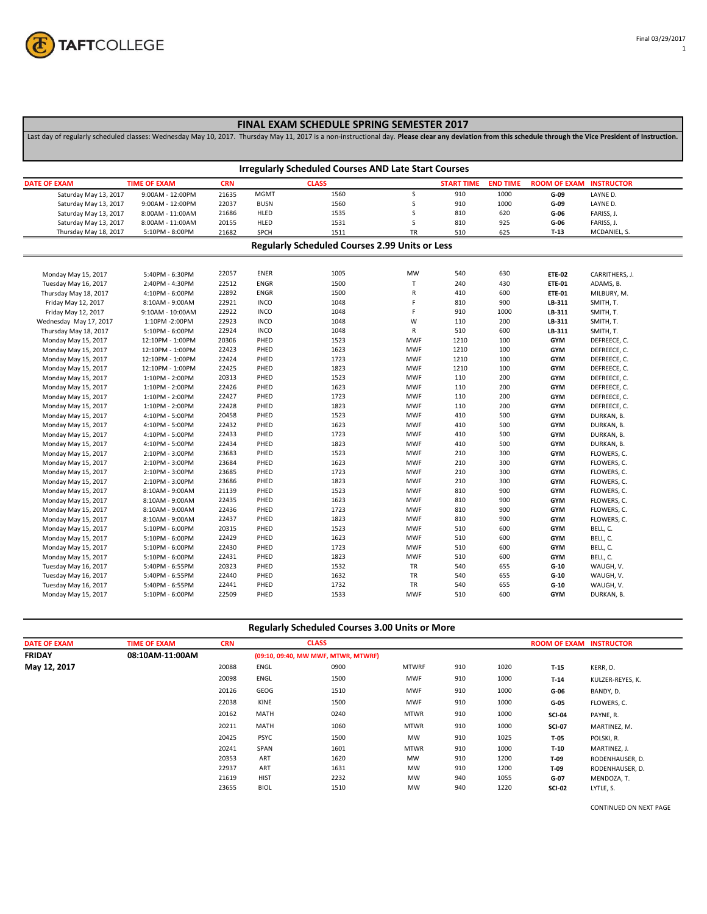

## **FINAL EXAM SCHEDULE SPRING SEMESTER 2017**

Last day of regularly scheduled classes: Wednesday May 10, 2017. Thursday May 11, 2017 is a non-instructional day. **Please clear any deviation from this schedule through the Vice President of Instruction.**

| <b>Irregularly Scheduled Courses AND Late Start Courses</b> |                     |            |             |                                                       |             |                   |                 |                     |                   |
|-------------------------------------------------------------|---------------------|------------|-------------|-------------------------------------------------------|-------------|-------------------|-----------------|---------------------|-------------------|
| <b>DATE OF EXAM</b>                                         | <b>TIME OF EXAM</b> | <b>CRN</b> |             | <b>CLASS</b>                                          |             | <b>START TIME</b> | <b>END TIME</b> | <b>ROOM OF EXAM</b> | <b>INSTRUCTOR</b> |
| Saturday May 13, 2017                                       | 9:00AM - 12:00PM    | 21635      | <b>MGMT</b> | 1560                                                  | S           | 910               | 1000            | G-09                | LAYNE D.          |
| Saturday May 13, 2017                                       | 9:00AM - 12:00PM    | 22037      | <b>BUSN</b> | 1560                                                  | S           | 910               | 1000            | G-09                | LAYNE D.          |
| Saturday May 13, 2017                                       | 8:00AM - 11:00AM    | 21686      | HLED        | 1535                                                  | S           | 810               | 620             | $G-06$              | FARISS, J.        |
| Saturday May 13, 2017                                       | 8:00AM - 11:00AM    | 20155      | HLED        | 1531                                                  | S           | 810               | 925             | G-06                | FARISS, J.        |
| Thursday May 18, 2017                                       | 5:10PM - 8:00PM     | 21682      | SPCH        | 1511                                                  | TR          | 510               | 625             | $T-13$              | MCDANIEL, S.      |
|                                                             |                     |            |             | <b>Regularly Scheduled Courses 2.99 Units or Less</b> |             |                   |                 |                     |                   |
| Monday May 15, 2017                                         | 5:40PM - 6:30PM     | 22057      | <b>ENER</b> | 1005                                                  | MW          | 540               | 630             | <b>ETE-02</b>       | CARRITHERS, J.    |
| Tuesday May 16, 2017                                        | 2:40PM - 4:30PM     | 22512      | <b>ENGR</b> | 1500                                                  | $\mathsf T$ | 240               | 430             | <b>ETE-01</b>       | ADAMS, B.         |
| Thursday May 18, 2017                                       | 4:10PM - 6:00PM     | 22892      | <b>ENGR</b> | 1500                                                  | ${\sf R}$   | 410               | 600             | <b>ETE-01</b>       | MILBURY, M.       |
| Friday May 12, 2017                                         | 8:10AM - 9:00AM     | 22921      | <b>INCO</b> | 1048                                                  | F           | 810               | 900             | LB-311              | SMITH, T.         |
| Friday May 12, 2017                                         | 9:10AM - 10:00AM    | 22922      | <b>INCO</b> | 1048                                                  | F           | 910               | 1000            | LB-311              | SMITH, T.         |
| Wednesday May 17, 2017                                      | 1:10PM -2:00PM      | 22923      | <b>INCO</b> | 1048                                                  | W           | 110               | 200             | LB-311              | SMITH, T.         |
| Thursday May 18, 2017                                       | 5:10PM - 6:00PM     | 22924      | <b>INCO</b> | 1048                                                  | ${\sf R}$   | 510               | 600             | LB-311              | SMITH, T.         |
| Monday May 15, 2017                                         | 12:10PM - 1:00PM    | 20306      | PHED        | 1523                                                  | <b>MWF</b>  | 1210              | 100             | <b>GYM</b>          | DEFREECE, C.      |
| Monday May 15, 2017                                         | 12:10PM - 1:00PM    | 22423      | PHED        | 1623                                                  | <b>MWF</b>  | 1210              | 100             | <b>GYM</b>          | DEFREECE, C.      |
| Monday May 15, 2017                                         | 12:10PM - 1:00PM    | 22424      | PHED        | 1723                                                  | <b>MWF</b>  | 1210              | 100             | <b>GYM</b>          | DEFREECE, C.      |
| Monday May 15, 2017                                         | 12:10PM - 1:00PM    | 22425      | PHED        | 1823                                                  | <b>MWF</b>  | 1210              | 100             | <b>GYM</b>          | DEFREECE, C.      |
| Monday May 15, 2017                                         | 1:10PM - 2:00PM     | 20313      | PHED        | 1523                                                  | <b>MWF</b>  | 110               | 200             | <b>GYM</b>          | DEFREECE, C.      |
| Monday May 15, 2017                                         | 1:10PM - 2:00PM     | 22426      | PHED        | 1623                                                  | <b>MWF</b>  | 110               | 200             | <b>GYM</b>          | DEFREECE, C.      |
| Monday May 15, 2017                                         | 1:10PM - 2:00PM     | 22427      | PHED        | 1723                                                  | <b>MWF</b>  | 110               | 200             | <b>GYM</b>          | DEFREECE, C.      |
| Monday May 15, 2017                                         | 1:10PM - 2:00PM     | 22428      | PHED        | 1823                                                  | <b>MWF</b>  | 110               | 200             | <b>GYM</b>          | DEFREECE, C.      |
| Monday May 15, 2017                                         | 4:10PM - 5:00PM     | 20458      | PHED        | 1523                                                  | <b>MWF</b>  | 410               | 500             | <b>GYM</b>          | DURKAN, B.        |
| Monday May 15, 2017                                         | 4:10PM - 5:00PM     | 22432      | PHED        | 1623                                                  | <b>MWF</b>  | 410               | 500             | <b>GYM</b>          | DURKAN, B.        |
| Monday May 15, 2017                                         | 4:10PM - 5:00PM     | 22433      | PHED        | 1723                                                  | <b>MWF</b>  | 410               | 500             | <b>GYM</b>          | DURKAN, B.        |
| Monday May 15, 2017                                         | 4:10PM - 5:00PM     | 22434      | PHED        | 1823                                                  | <b>MWF</b>  | 410               | 500             | <b>GYM</b>          | DURKAN, B.        |
| Monday May 15, 2017                                         | 2:10PM - 3:00PM     | 23683      | PHED        | 1523                                                  | <b>MWF</b>  | 210               | 300             | <b>GYM</b>          | FLOWERS, C.       |
| Monday May 15, 2017                                         | 2:10PM - 3:00PM     | 23684      | PHED        | 1623                                                  | <b>MWF</b>  | 210               | 300             | <b>GYM</b>          | FLOWERS, C.       |
| Monday May 15, 2017                                         | 2:10PM - 3:00PM     | 23685      | PHED        | 1723                                                  | <b>MWF</b>  | 210               | 300             | <b>GYM</b>          | FLOWERS, C.       |
| Monday May 15, 2017                                         | 2:10PM - 3:00PM     | 23686      | PHED        | 1823                                                  | <b>MWF</b>  | 210               | 300             | <b>GYM</b>          | FLOWERS, C.       |
| Monday May 15, 2017                                         | 8:10AM - 9:00AM     | 21139      | PHED        | 1523                                                  | <b>MWF</b>  | 810               | 900             | <b>GYM</b>          | FLOWERS, C.       |
| Monday May 15, 2017                                         | 8:10AM - 9:00AM     | 22435      | PHED        | 1623                                                  | <b>MWF</b>  | 810               | 900             | <b>GYM</b>          | FLOWERS, C.       |
| Monday May 15, 2017                                         | 8:10AM - 9:00AM     | 22436      | PHED        | 1723                                                  | <b>MWF</b>  | 810               | 900             | <b>GYM</b>          | FLOWERS, C.       |
| Monday May 15, 2017                                         | 8:10AM - 9:00AM     | 22437      | PHED        | 1823                                                  | <b>MWF</b>  | 810               | 900             | <b>GYM</b>          | FLOWERS, C.       |
| Monday May 15, 2017                                         | 5:10PM - 6:00PM     | 20315      | PHED        | 1523                                                  | <b>MWF</b>  | 510               | 600             | <b>GYM</b>          | BELL, C.          |
| Monday May 15, 2017                                         | 5:10PM - 6:00PM     | 22429      | PHED        | 1623                                                  | <b>MWF</b>  | 510               | 600             | <b>GYM</b>          | BELL, C.          |
| Monday May 15, 2017                                         | 5:10PM - 6:00PM     | 22430      | PHED        | 1723                                                  | <b>MWF</b>  | 510               | 600             | <b>GYM</b>          | BELL, C.          |
| Monday May 15, 2017                                         | 5:10PM - 6:00PM     | 22431      | PHED        | 1823                                                  | <b>MWF</b>  | 510               | 600             | <b>GYM</b>          | BELL, C.          |
| Tuesday May 16, 2017                                        | 5:40PM - 6:55PM     | 20323      | PHED        | 1532                                                  | TR          | 540               | 655             | $G-10$              | WAUGH, V.         |
| Tuesday May 16, 2017                                        | 5:40PM - 6:55PM     | 22440      | PHED        | 1632                                                  | TR          | 540               | 655             | $G-10$              | WAUGH, V.         |
| Tuesday May 16, 2017                                        | 5:40PM - 6:55PM     | 22441      | PHED        | 1732                                                  | TR          | 540               | 655             | $G-10$              | WAUGH, V.         |
| Monday May 15, 2017                                         | 5:10PM - 6:00PM     | 22509      | PHED        | 1533                                                  | <b>MWF</b>  | 510               | 600             | <b>GYM</b>          | DURKAN, B.        |

| <b>Regularly Scheduled Courses 3.00 Units or More</b> |                     |            |             |                                     |              |     |      |               |                                |  |
|-------------------------------------------------------|---------------------|------------|-------------|-------------------------------------|--------------|-----|------|---------------|--------------------------------|--|
| <b>DATE OF EXAM</b>                                   | <b>TIME OF EXAM</b> | <b>CRN</b> |             | <b>CLASS</b>                        |              |     |      |               | <b>ROOM OF EXAM INSTRUCTOR</b> |  |
| <b>FRIDAY</b>                                         | 08:10AM-11:00AM     |            |             | (09:10, 09:40, MW MWF, MTWR, MTWRF) |              |     |      |               |                                |  |
| May 12, 2017                                          |                     | 20088      | ENGL        | 0900                                | <b>MTWRF</b> | 910 | 1020 | $T-15$        | KERR, D.                       |  |
|                                                       |                     | 20098      | ENGL        | 1500                                | <b>MWF</b>   | 910 | 1000 | $T-14$        | KULZER-REYES, K.               |  |
|                                                       |                     | 20126      | GEOG        | 1510                                | <b>MWF</b>   | 910 | 1000 | G-06          | BANDY, D.                      |  |
|                                                       |                     | 22038      | KINE        | 1500                                | <b>MWF</b>   | 910 | 1000 | G-05          | FLOWERS, C.                    |  |
|                                                       |                     | 20162      | MATH        | 0240                                | <b>MTWR</b>  | 910 | 1000 | <b>SCI-04</b> | PAYNE, R.                      |  |
|                                                       |                     | 20211      | MATH        | 1060                                | <b>MTWR</b>  | 910 | 1000 | <b>SCI-07</b> | MARTINEZ, M.                   |  |
|                                                       |                     | 20425      | <b>PSYC</b> | 1500                                | <b>MW</b>    | 910 | 1025 | T-05          | POLSKI, R.                     |  |
|                                                       |                     | 20241      | SPAN        | 1601                                | <b>MTWR</b>  | 910 | 1000 | $T-10$        | MARTINEZ, J.                   |  |
|                                                       |                     | 20353      | ART         | 1620                                | <b>MW</b>    | 910 | 1200 | $T-09$        | RODENHAUSER, D.                |  |
|                                                       |                     | 22937      | ART         | 1631                                | <b>MW</b>    | 910 | 1200 | $T-09$        | RODENHAUSER, D.                |  |
|                                                       |                     | 21619      | <b>HIST</b> | 2232                                | <b>MW</b>    | 940 | 1055 | $G-07$        | MENDOZA, T.                    |  |
|                                                       |                     | 23655      | <b>BIOL</b> | 1510                                | <b>MW</b>    | 940 | 1220 | <b>SCI-02</b> | LYTLE, S.                      |  |

CONTINUED ON NEXT PAGE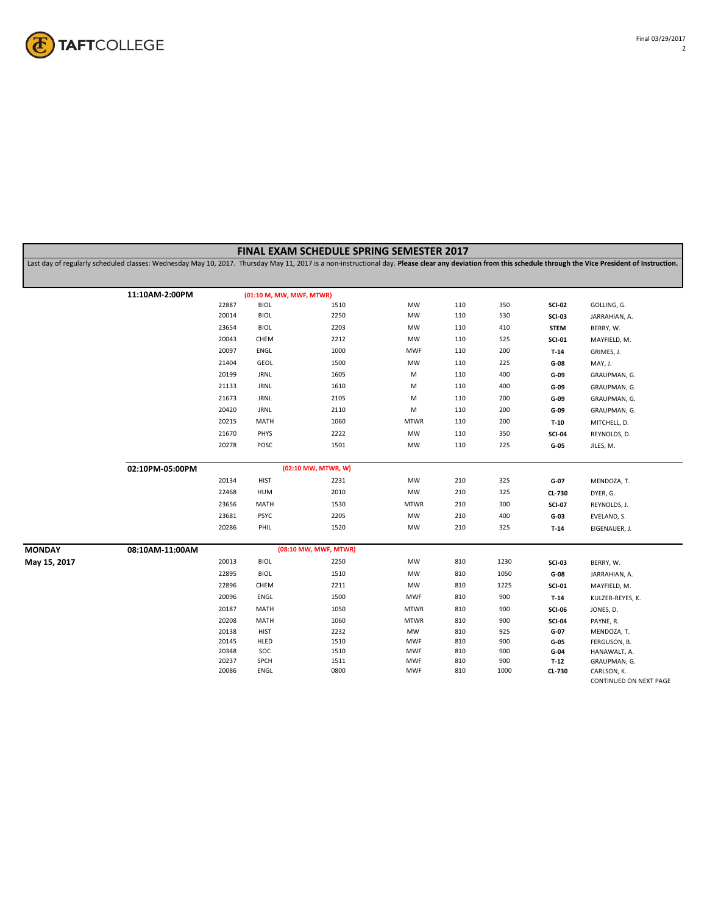

|               |                                                                                                                                                                                                             |       |                          | FINAL EXAM SCHEDULE SPRING SEMESTER 2017 |             |     |      |               |                                       |
|---------------|-------------------------------------------------------------------------------------------------------------------------------------------------------------------------------------------------------------|-------|--------------------------|------------------------------------------|-------------|-----|------|---------------|---------------------------------------|
|               | Last day of regularly scheduled classes: Wednesday May 10, 2017. Thursday May 11, 2017 is a non-instructional day. Please clear any deviation from this schedule through the Vice President of Instruction. |       |                          |                                          |             |     |      |               |                                       |
|               |                                                                                                                                                                                                             |       |                          |                                          |             |     |      |               |                                       |
|               | 11:10AM-2:00PM                                                                                                                                                                                              |       | (01:10 M, MW, MWF, MTWR) |                                          |             |     |      |               |                                       |
|               |                                                                                                                                                                                                             | 22887 | <b>BIOL</b>              | 1510                                     | MW          | 110 | 350  | <b>SCI-02</b> | GOLLING, G.                           |
|               |                                                                                                                                                                                                             | 20014 | <b>BIOL</b>              | 2250                                     | MW          | 110 | 530  | <b>SCI-03</b> | JARRAHIAN, A.                         |
|               |                                                                                                                                                                                                             | 23654 | <b>BIOL</b>              | 2203                                     | MW          | 110 | 410  | <b>STEM</b>   | BERRY, W.                             |
|               |                                                                                                                                                                                                             | 20043 | CHEM                     | 2212                                     | MW          | 110 | 525  | <b>SCI-01</b> | MAYFIELD, M.                          |
|               |                                                                                                                                                                                                             | 20097 | ENGL                     | 1000                                     | <b>MWF</b>  | 110 | 200  | $T-14$        | GRIMES, J.                            |
|               |                                                                                                                                                                                                             | 21404 | <b>GEOL</b>              | 1500                                     | MW          | 110 | 225  | G-08          | MAY, J.                               |
|               |                                                                                                                                                                                                             | 20199 | <b>JRNL</b>              | 1605                                     | M           | 110 | 400  | G-09          | GRAUPMAN, G.                          |
|               |                                                                                                                                                                                                             | 21133 | <b>JRNL</b>              | 1610                                     | М           | 110 | 400  | G-09          | GRAUPMAN, G.                          |
|               |                                                                                                                                                                                                             | 21673 | <b>JRNL</b>              | 2105                                     | M           | 110 | 200  | G-09          | GRAUPMAN, G.                          |
|               |                                                                                                                                                                                                             | 20420 | <b>JRNL</b>              | 2110                                     | М           | 110 | 200  | G-09          | GRAUPMAN, G.                          |
|               |                                                                                                                                                                                                             | 20215 | MATH                     | 1060                                     | <b>MTWR</b> | 110 | 200  | $T-10$        | MITCHELL, D.                          |
|               |                                                                                                                                                                                                             | 21670 | PHYS                     | 2222                                     | MW          | 110 | 350  | <b>SCI-04</b> | REYNOLDS, D.                          |
|               |                                                                                                                                                                                                             | 20278 | POSC                     | 1501                                     | MW          | 110 | 225  | $G-05$        | JILES, M.                             |
|               |                                                                                                                                                                                                             |       |                          |                                          |             |     |      |               |                                       |
|               | 02:10PM-05:00PM                                                                                                                                                                                             |       |                          | (02:10 MW, MTWR, W)                      |             |     |      |               |                                       |
|               |                                                                                                                                                                                                             | 20134 | <b>HIST</b>              | 2231                                     | MW          | 210 | 325  | $G-07$        | MENDOZA, T.                           |
|               |                                                                                                                                                                                                             | 22468 | <b>HUM</b>               | 2010                                     | MW          | 210 | 325  | CL-730        | DYER, G.                              |
|               |                                                                                                                                                                                                             | 23656 | MATH                     | 1530                                     | <b>MTWR</b> | 210 | 300  | <b>SCI-07</b> | REYNOLDS, J.                          |
|               |                                                                                                                                                                                                             | 23681 | <b>PSYC</b>              | 2205                                     | MW          | 210 | 400  | G-03          | EVELAND, S.                           |
|               |                                                                                                                                                                                                             | 20286 | PHIL                     | 1520                                     | MW          | 210 | 325  | $T-14$        | EIGENAUER, J.                         |
|               |                                                                                                                                                                                                             |       |                          |                                          |             |     |      |               |                                       |
| <b>MONDAY</b> | 08:10AM-11:00AM                                                                                                                                                                                             |       |                          | (08:10 MW, MWF, MTWR)                    |             |     |      |               |                                       |
| May 15, 2017  |                                                                                                                                                                                                             | 20013 | <b>BIOL</b>              | 2250                                     | MW          | 810 | 1230 | <b>SCI-03</b> | BERRY, W.                             |
|               |                                                                                                                                                                                                             | 22895 | <b>BIOL</b>              | 1510                                     | MW          | 810 | 1050 | $G-08$        | JARRAHIAN, A.                         |
|               |                                                                                                                                                                                                             | 22896 | CHEM                     | 2211                                     | MW          | 810 | 1225 | <b>SCI-01</b> | MAYFIELD, M.                          |
|               |                                                                                                                                                                                                             | 20096 | ENGL                     | 1500                                     | <b>MWF</b>  | 810 | 900  | $T-14$        | KULZER-REYES, K.                      |
|               |                                                                                                                                                                                                             | 20187 | MATH                     | 1050                                     | <b>MTWR</b> | 810 | 900  | <b>SCI-06</b> | JONES, D.                             |
|               |                                                                                                                                                                                                             | 20208 | MATH                     | 1060                                     | <b>MTWR</b> | 810 | 900  | <b>SCI-04</b> | PAYNE, R.                             |
|               |                                                                                                                                                                                                             | 20138 | <b>HIST</b>              | 2232                                     | MW          | 810 | 925  | $G-07$        | MENDOZA, T.                           |
|               |                                                                                                                                                                                                             | 20145 | HLED                     | 1510                                     | <b>MWF</b>  | 810 | 900  | G-05          | FERGUSON, B.                          |
|               |                                                                                                                                                                                                             | 20348 | SOC                      | 1510                                     | <b>MWF</b>  | 810 | 900  | G-04          | HANAWALT, A.                          |
|               |                                                                                                                                                                                                             | 20237 | SPCH                     | 1511                                     | <b>MWF</b>  | 810 | 900  | $T-12$        | GRAUPMAN, G.                          |
|               |                                                                                                                                                                                                             | 20086 | ENGL                     | 0800                                     | <b>MWF</b>  | 810 | 1000 | <b>CL-730</b> | CARLSON, K.<br>CONTINUED ON NEXT PAGE |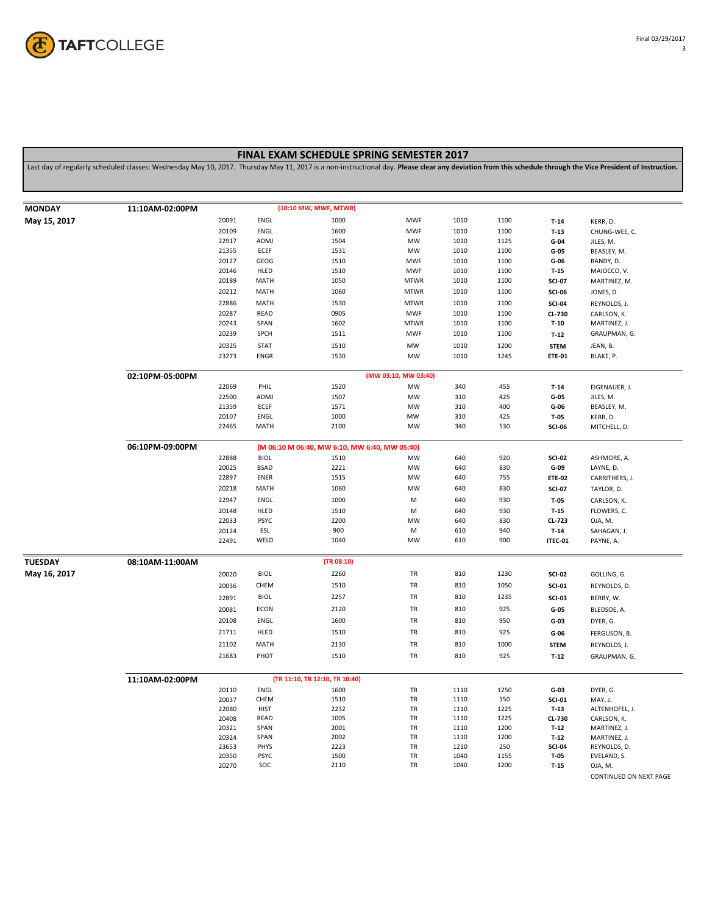

## **FINAL EXAM SCHEDULE SPRING SEMESTER 2017**

Last day of regularly scheduled classes: Wednesday May 10, 2017. Thursday May 11, 2017 is a non-instructional day. **Please clear any deviation from this schedule through the Vice President of Instruction.**

| <b>MONDAY</b>  | 11:10AM-02:00PM                                                  |                |                    | (10:10 MW, MWF, MTWR)          |                           |              |              |                   |                             |  |  |
|----------------|------------------------------------------------------------------|----------------|--------------------|--------------------------------|---------------------------|--------------|--------------|-------------------|-----------------------------|--|--|
|                |                                                                  | 20091          | ENGL               | 1000                           | <b>MWF</b>                | 1010         | 1100         |                   |                             |  |  |
| May 15, 2017   |                                                                  |                | ENGL               | 1600                           | <b>MWF</b>                | 1010         |              | $T-14$            | KERR, D.                    |  |  |
|                |                                                                  | 20109<br>22917 | ADMJ               | 1504                           | MW                        | 1010         | 1100<br>1125 | $T-13$<br>$G-04$  | CHUNG-WEE, C.<br>JILES, M.  |  |  |
|                |                                                                  | 21355          | ECEF               | 1531                           | MW                        | 1010         | 1100         | G-05              | BEASLEY, M.                 |  |  |
|                |                                                                  | 20127          | GEOG               | 1510                           | <b>MWF</b>                | 1010         | 1100         | G-06              | BANDY, D.                   |  |  |
|                |                                                                  | 20146          | HLED               | 1510                           | <b>MWF</b>                | 1010         | 1100         | $T-15$            | MAIOCCO, V.                 |  |  |
|                |                                                                  | 20189          | MATH               | 1050                           | <b>MTWR</b>               | 1010         | 1100         | <b>SCI-07</b>     | MARTINEZ, M.                |  |  |
|                |                                                                  | 20212          | MATH               | 1060                           | <b>MTWR</b>               | 1010         | 1100         | <b>SCI-06</b>     | JONES, D.                   |  |  |
|                |                                                                  |                |                    |                                |                           |              |              |                   |                             |  |  |
|                |                                                                  | 22886<br>20287 | MATH<br>READ       | 1530<br>0905                   | <b>MTWR</b><br><b>MWF</b> | 1010<br>1010 | 1100<br>1100 | <b>SCI-04</b>     | REYNOLDS, J.                |  |  |
|                |                                                                  | 20243          | SPAN               | 1602                           | <b>MTWR</b>               | 1010         | 1100         | CL-730            | CARLSON, K.<br>MARTINEZ, J. |  |  |
|                |                                                                  |                |                    |                                |                           |              |              | $T-10$            |                             |  |  |
|                |                                                                  | 20239          | SPCH               | 1511                           | <b>MWF</b>                | 1010         | 1100         | $T-12$            | GRAUPMAN, G.                |  |  |
|                |                                                                  | 20325          | <b>STAT</b>        | 1510                           | MW                        | 1010         | 1200         | <b>STEM</b>       | JEAN, B.                    |  |  |
|                |                                                                  | 23273          | <b>ENGR</b>        | 1530                           | MW                        | 1010         | 1245         | <b>ETE-01</b>     | BLAKE, P.                   |  |  |
|                | 02:10PM-05:00PM                                                  |                |                    |                                | (MW 03:10, MW 03:40)      |              |              |                   |                             |  |  |
|                |                                                                  | 22069          | PHIL               | 1520                           | MW                        | 340          | 455          | $T-14$            | EIGENAUER, J.               |  |  |
|                |                                                                  | 22500          | ADMJ               | 1507                           | MW                        | 310          | 425          | $G-05$            | JILES, M.                   |  |  |
|                |                                                                  | 21359          | ECEF               | 1571                           | MW                        | 310          | 400          | G-06              | BEASLEY, M.                 |  |  |
|                |                                                                  | 20107          | ENGL               | 1000                           | MW                        | 310          | 425          | T-05              | KERR, D.                    |  |  |
|                |                                                                  | 22465          | MATH               | 2100                           | <b>MW</b>                 | 340          | 530          | <b>SCI-06</b>     | MITCHELL, D.                |  |  |
|                | 06:10PM-09:00PM<br>(M 06:10 M 06:40, MW 6:10, MW 6:40, MW 05:40) |                |                    |                                |                           |              |              |                   |                             |  |  |
|                |                                                                  | 22888          | <b>BIOL</b>        | 1510                           | MW                        | 640          | 920          | <b>SCI-02</b>     | ASHMORE, A.                 |  |  |
|                |                                                                  | 20025          | <b>BSAD</b>        | 2221                           | MW                        | 640          | 830          | G-09              | LAYNE, D.                   |  |  |
|                |                                                                  | 22897          | ENER               | 1515                           | MW                        | 640          | 755          | <b>ETE-02</b>     | CARRITHERS, J.              |  |  |
|                |                                                                  | 20218          | MATH               | 1060                           | MW                        | 640          | 830          | <b>SCI-07</b>     | TAYLOR, D.                  |  |  |
|                |                                                                  | 22947          | ENGL               | 1000                           |                           | 640          | 930          |                   |                             |  |  |
|                |                                                                  |                |                    |                                | M                         |              |              | $T-05$            | CARLSON, K.                 |  |  |
|                |                                                                  | 20148          | HLED               | 1510                           | M                         | 640          | 930          | $T-15$            | FLOWERS, C.                 |  |  |
|                |                                                                  | 22033          | <b>PSYC</b><br>ESL | 2200<br>900                    | <b>MW</b><br>M            | 640<br>610   | 830<br>940   | CL-723            | OJA, M.                     |  |  |
|                |                                                                  | 20124<br>22491 | WELD               | 1040                           | MW                        | 610          | 900          | $T-14$<br>ITEC-01 | SAHAGAN, J.<br>PAYNE, A.    |  |  |
|                |                                                                  |                |                    |                                |                           |              |              |                   |                             |  |  |
| <b>TUESDAY</b> | 08:10AM-11:00AM                                                  |                |                    | (TR 08:10)                     |                           |              |              |                   |                             |  |  |
| May 16, 2017   |                                                                  | 20020          | <b>BIOL</b>        | 2260                           | TR                        | 810          | 1230         | <b>SCI-02</b>     | GOLLING, G.                 |  |  |
|                |                                                                  | 20036          | CHEM               | 1510                           | TR                        | 810          | 1050         | <b>SCI-01</b>     | REYNOLDS, D.                |  |  |
|                |                                                                  | 22891          | <b>BIOL</b>        | 2257                           | TR                        | 810          | 1235         | <b>SCI-03</b>     | BERRY, W.                   |  |  |
|                |                                                                  | 20081          | ECON               | 2120                           | TR                        | 810          | 925          | $G-05$            | BLEDSOE, A.                 |  |  |
|                |                                                                  | 20108          | ENGL               | 1600                           | TR                        | 810          | 950          | $G-03$            | DYER, G.                    |  |  |
|                |                                                                  | 21711          | HLED               | 1510                           | TR                        | 810          | 925          |                   | FERGUSON, B.                |  |  |
|                |                                                                  |                |                    |                                |                           |              |              | G-06              |                             |  |  |
|                |                                                                  | 21102          | MATH               | 2130                           | TR                        | 810          | 1000         | <b>STEM</b>       | REYNOLDS, J.                |  |  |
|                |                                                                  | 21683          | PHOT               | 1510                           | TR                        | 810          | 925          | $T-12$            | GRAUPMAN, G.                |  |  |
|                | 11:10AM-02:00PM                                                  |                |                    | (TR 11:10, TR 12:10, TR 10:40) |                           |              |              |                   |                             |  |  |
|                |                                                                  |                | ENGL               | 1600                           | TR                        | 1110         | 1250         | $G-03$            | DYER, G.                    |  |  |
|                |                                                                  | 20110<br>20037 | CHEM               | 1510                           | TR                        | 1110         | 150          | <b>SCI-01</b>     | MAY, J.                     |  |  |
|                |                                                                  | 22080          | <b>HIST</b>        | 2232                           | TR                        | 1110         | 1225         | $T-13$            | ALTENHOFEL, J.              |  |  |
|                |                                                                  | 20408          | READ               | 1005                           | TR                        | 1110         | 1225         | CL-730            | CARLSON, K.                 |  |  |
|                |                                                                  | 20321          | SPAN               | 2001                           | TR                        | 1110         | 1200         | $T-12$            | MARTINEZ, J.                |  |  |
|                |                                                                  | 20324          | SPAN               | 2002                           | TR                        | 1110         | 1200         | $T-12$            | MARTINEZ, J.                |  |  |
|                |                                                                  | 23653          | PHYS               | 2223                           | TR                        | 1210         | 250          | <b>SCI-04</b>     | REYNOLDS, D.                |  |  |
|                |                                                                  | 20350          | <b>PSYC</b>        | 1500                           | TR                        | 1040         | 1155         | $T-05$            | EVELAND, S.                 |  |  |
|                |                                                                  | 20270          | SOC                | 2110                           | TR                        | 1040         | 1200         | $T-15$            | OJA, M.                     |  |  |
|                |                                                                  |                |                    |                                |                           |              |              |                   |                             |  |  |

CONTINUED ON NEXT PAGE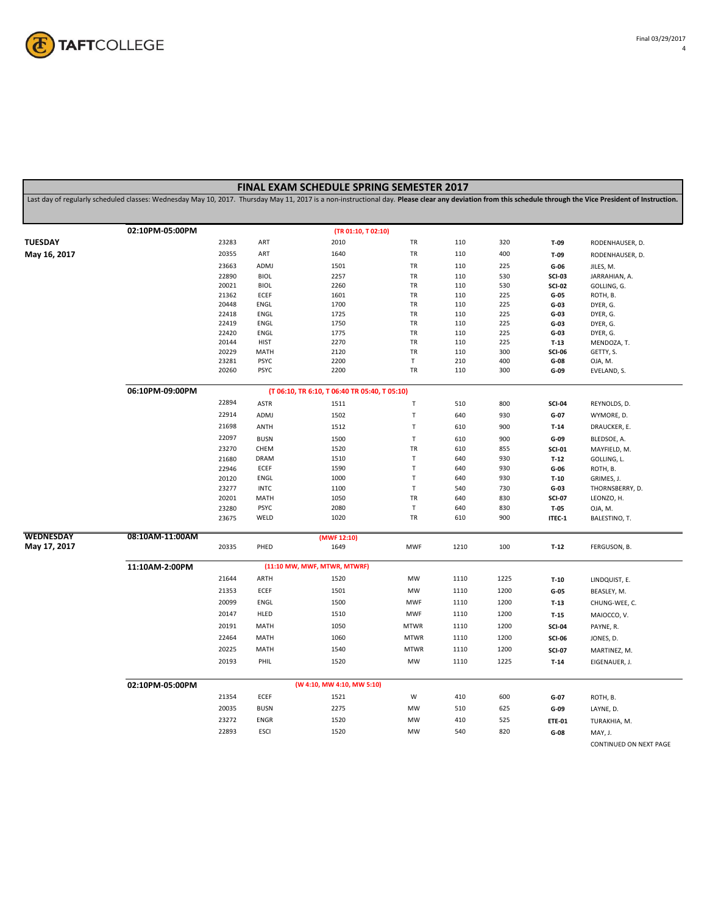

|                                                                                                                                                                                                             |                 |       |             | <b>FINAL EXAM SCHEDULE SPRING SEMESTER 2017</b> |              |      |      |               |                        |  |
|-------------------------------------------------------------------------------------------------------------------------------------------------------------------------------------------------------------|-----------------|-------|-------------|-------------------------------------------------|--------------|------|------|---------------|------------------------|--|
| Last day of regularly scheduled classes: Wednesday May 10, 2017. Thursday May 11, 2017 is a non-instructional day. Please clear any deviation from this schedule through the Vice President of Instruction. |                 |       |             |                                                 |              |      |      |               |                        |  |
|                                                                                                                                                                                                             | 02:10PM-05:00PM |       |             | (TR 01:10, T 02:10)                             |              |      |      |               |                        |  |
| TUESDAY                                                                                                                                                                                                     |                 | 23283 | ART         | 2010                                            | TR           | 110  | 320  | T-09          | RODENHAUSER, D.        |  |
| May 16, 2017                                                                                                                                                                                                |                 | 20355 | ART         | 1640                                            | TR           | 110  | 400  | $T-09$        | RODENHAUSER, D.        |  |
|                                                                                                                                                                                                             |                 | 23663 | ADMJ        | 1501                                            | TR           | 110  | 225  | $G-06$        | JILES, M.              |  |
|                                                                                                                                                                                                             |                 | 22890 | <b>BIOL</b> | 2257                                            | TR           | 110  | 530  | <b>SCI-03</b> | JARRAHIAN, A.          |  |
|                                                                                                                                                                                                             |                 | 20021 | <b>BIOL</b> | 2260                                            | TR           | 110  | 530  | <b>SCI-02</b> | GOLLING, G.            |  |
|                                                                                                                                                                                                             |                 | 21362 | ECEF        | 1601                                            | TR           | 110  | 225  | $G-05$        | ROTH, B.               |  |
|                                                                                                                                                                                                             |                 | 20448 | ENGL        | 1700                                            | TR           | 110  | 225  | $G-03$        | DYER, G.               |  |
|                                                                                                                                                                                                             |                 | 22418 | ENGL        | 1725                                            | TR           | 110  | 225  | $G-03$        | DYER, G.               |  |
|                                                                                                                                                                                                             |                 | 22419 | ENGL        | 1750                                            | TR           | 110  | 225  | $G-03$        | DYER, G.               |  |
|                                                                                                                                                                                                             |                 | 22420 | ENGL        | 1775                                            | TR           | 110  | 225  | $G-03$        | DYER, G.               |  |
|                                                                                                                                                                                                             |                 | 20144 | <b>HIST</b> | 2270                                            | TR           | 110  | 225  | $T-13$        | MENDOZA, T.            |  |
|                                                                                                                                                                                                             |                 | 20229 | MATH        | 2120                                            | TR           | 110  | 300  | <b>SCI-06</b> | GETTY, S.              |  |
|                                                                                                                                                                                                             |                 | 23281 | <b>PSYC</b> | 2200                                            | $\mathsf T$  | 210  | 400  | G-08          | OJA, M.                |  |
|                                                                                                                                                                                                             |                 | 20260 | <b>PSYC</b> | 2200                                            | TR           | 110  | 300  | G-09          | EVELAND, S.            |  |
|                                                                                                                                                                                                             | 06:10PM-09:00PM |       |             | (T 06:10, TR 6:10, T 06:40 TR 05:40, T 05:10)   |              |      |      |               |                        |  |
|                                                                                                                                                                                                             |                 | 22894 | <b>ASTR</b> | 1511                                            | $\mathsf T$  | 510  | 800  | <b>SCI-04</b> | REYNOLDS, D.           |  |
|                                                                                                                                                                                                             |                 | 22914 | ADMJ        | 1502                                            | $\mathsf T$  | 640  | 930  | G-07          | WYMORE, D.             |  |
|                                                                                                                                                                                                             |                 | 21698 | ANTH        | 1512                                            | $\mathsf T$  | 610  | 900  | $T-14$        | DRAUCKER, E.           |  |
|                                                                                                                                                                                                             |                 | 22097 | <b>BUSN</b> | 1500                                            | $\mathsf T$  | 610  | 900  | G-09          | BLEDSOE, A.            |  |
|                                                                                                                                                                                                             |                 | 23270 | CHEM        | 1520                                            | TR           | 610  | 855  | <b>SCI-01</b> | MAYFIELD, M.           |  |
|                                                                                                                                                                                                             |                 | 21680 | <b>DRAM</b> | 1510                                            | $\mathsf T$  | 640  | 930  | $T-12$        | GOLLING, L.            |  |
|                                                                                                                                                                                                             |                 | 22946 | ECEF        | 1590                                            | $\mathsf T$  | 640  | 930  | $G-06$        | ROTH, B.               |  |
|                                                                                                                                                                                                             |                 | 20120 | ENGL        | 1000                                            | $\sf T$      | 640  | 930  | $T-10$        | GRIMES, J.             |  |
|                                                                                                                                                                                                             |                 | 23277 | <b>INTC</b> | 1100                                            | $\mathsf T$  | 540  | 730  | $G-03$        | THORNSBERRY, D.        |  |
|                                                                                                                                                                                                             |                 | 20201 | MATH        | 1050                                            | TR           | 640  | 830  | <b>SCI-07</b> | LEONZO, H.             |  |
|                                                                                                                                                                                                             |                 | 23280 | PSYC        | 2080                                            | $\mathsf{T}$ | 640  | 830  | $T-05$        | OJA, M.                |  |
|                                                                                                                                                                                                             |                 | 23675 | WELD        | 1020                                            | TR           | 610  | 900  | ITEC-1        | BALESTINO, T.          |  |
| WEDNESDAY                                                                                                                                                                                                   | 08:10AM-11:00AM |       |             | (MWF 12:10)                                     |              |      |      |               |                        |  |
| May 17, 2017                                                                                                                                                                                                |                 | 20335 | PHED        | 1649                                            | <b>MWF</b>   | 1210 | 100  | $T-12$        | FERGUSON, B.           |  |
|                                                                                                                                                                                                             | 11:10AM-2:00PM  |       |             | (11:10 MW, MWF, MTWR, MTWRF)                    |              |      |      |               |                        |  |
|                                                                                                                                                                                                             |                 | 21644 | ARTH        | 1520                                            | MW           | 1110 | 1225 | $T-10$        | LINDQUIST, E.          |  |
|                                                                                                                                                                                                             |                 | 21353 | ECEF        | 1501                                            | MW           | 1110 | 1200 | $G-05$        | BEASLEY, M.            |  |
|                                                                                                                                                                                                             |                 | 20099 | ENGL        | 1500                                            | <b>MWF</b>   | 1110 | 1200 | $T-13$        | CHUNG-WEE, C.          |  |
|                                                                                                                                                                                                             |                 | 20147 | HLED        | 1510                                            | <b>MWF</b>   | 1110 | 1200 | $T-15$        | MAIOCCO, V.            |  |
|                                                                                                                                                                                                             |                 | 20191 | MATH        | 1050                                            | <b>MTWR</b>  | 1110 | 1200 | <b>SCI-04</b> | PAYNE, R.              |  |
|                                                                                                                                                                                                             |                 | 22464 | MATH        | 1060                                            | <b>MTWR</b>  | 1110 | 1200 |               |                        |  |
|                                                                                                                                                                                                             |                 |       |             |                                                 |              |      |      | <b>SCI-06</b> | JONES, D.              |  |
|                                                                                                                                                                                                             |                 | 20225 | MATH        | 1540                                            | <b>MTWR</b>  | 1110 | 1200 | <b>SCI-07</b> | MARTINEZ, M.           |  |
|                                                                                                                                                                                                             |                 | 20193 | PHIL        | 1520                                            | MW           | 1110 | 1225 | $T-14$        | EIGENAUER, J.          |  |
|                                                                                                                                                                                                             | 02:10PM-05:00PM |       |             | (W 4:10, MW 4:10, MW 5:10)                      |              |      |      |               |                        |  |
|                                                                                                                                                                                                             |                 | 21354 | ECEF        | 1521                                            | W            | 410  | 600  | $G-07$        | ROTH, B.               |  |
|                                                                                                                                                                                                             |                 | 20035 | <b>BUSN</b> | 2275                                            | MW           | 510  | 625  | G-09          | LAYNE, D.              |  |
|                                                                                                                                                                                                             |                 | 23272 |             |                                                 | MW           |      |      |               |                        |  |
|                                                                                                                                                                                                             |                 |       | ENGR        | 1520                                            |              | 410  | 525  | <b>ETE-01</b> | TURAKHIA, M.           |  |
|                                                                                                                                                                                                             |                 | 22893 | <b>ESCI</b> | 1520                                            | MW           | 540  | 820  | $G-08$        | MAY, J.                |  |
|                                                                                                                                                                                                             |                 |       |             |                                                 |              |      |      |               | CONTINUED ON NEXT PAGE |  |